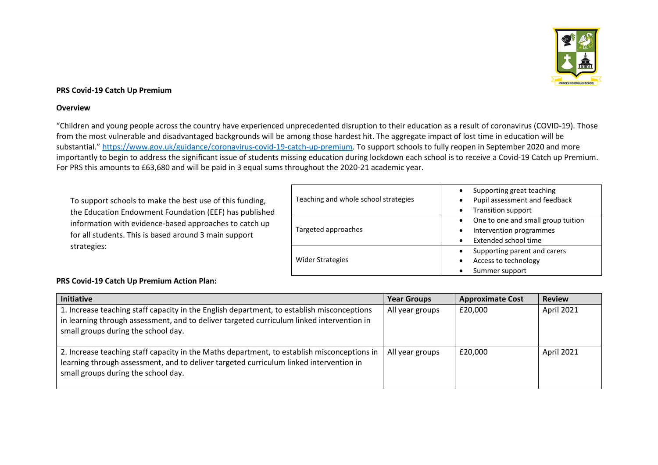

## **PRS Covid-19 Catch Up Premium**

## **Overview**

"Children and young people across the country have experienced unprecedented disruption to their education as a result of coronavirus (COVID-19). Those from the most vulnerable and disadvantaged backgrounds will be among those hardest hit. The aggregate impact of lost time in education will be substantial." [https://www.gov.uk/guidance/coronavirus-covid-19-catch-up-premium.](https://www.gov.uk/guidance/coronavirus-covid-19-catch-up-premium) To support schools to fully reopen in September 2020 and more importantly to begin to address the significant issue of students missing education during lockdown each school is to receive a Covid-19 Catch up Premium. For PRS this amounts to £63,680 and will be paid in 3 equal sums throughout the 2020-21 academic year.

To support schools to make the best use of this funding, the Education Endowment Foundation (EEF) has published information with evidence-based approaches to catch up for all students. This is based around 3 main support strategies:

| Teaching and whole school strategies | Supporting great teaching<br>$\bullet$<br>Pupil assessment and feedback<br>$\bullet$<br><b>Transition support</b><br>$\bullet$ |
|--------------------------------------|--------------------------------------------------------------------------------------------------------------------------------|
| Targeted approaches                  | One to one and small group tuition<br>$\bullet$<br>Intervention programmes<br>$\bullet$<br>Extended school time<br>$\bullet$   |
| <b>Wider Strategies</b>              | Supporting parent and carers<br>$\bullet$<br>Access to technology<br>$\bullet$<br>Summer support<br>$\bullet$                  |

## **PRS Covid-19 Catch Up Premium Action Plan:**

| Initiative                                                                                                                                                                                                                     | <b>Year Groups</b> | <b>Approximate Cost</b> | <b>Review</b> |
|--------------------------------------------------------------------------------------------------------------------------------------------------------------------------------------------------------------------------------|--------------------|-------------------------|---------------|
| 1. Increase teaching staff capacity in the English department, to establish misconceptions<br>in learning through assessment, and to deliver targeted curriculum linked intervention in<br>small groups during the school day. | All year groups    | £20,000                 | April 2021    |
| 2. Increase teaching staff capacity in the Maths department, to establish misconceptions in<br>learning through assessment, and to deliver targeted curriculum linked intervention in<br>small groups during the school day.   | All year groups    | £20,000                 | April 2021    |